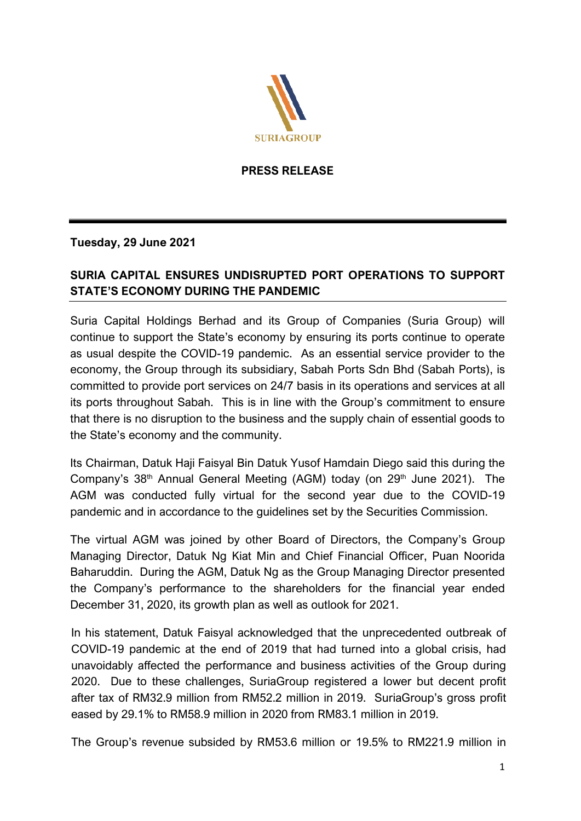

**PRESS RELEASE** 

**Tuesday, 29 June 2021** 

# **SURIA CAPITAL ENSURES UNDISRUPTED PORT OPERATIONS TO SUPPORT STATE'S ECONOMY DURING THE PANDEMIC**

Suria Capital Holdings Berhad and its Group of Companies (Suria Group) will continue to support the State's economy by ensuring its ports continue to operate as usual despite the COVID-19 pandemic. As an essential service provider to the economy, the Group through its subsidiary, Sabah Ports Sdn Bhd (Sabah Ports), is committed to provide port services on 24/7 basis in its operations and services at all its ports throughout Sabah. This is in line with the Group's commitment to ensure that there is no disruption to the business and the supply chain of essential goods to the State's economy and the community.

Its Chairman, Datuk Haji Faisyal Bin Datuk Yusof Hamdain Diego said this during the Company's  $38<sup>th</sup>$  Annual General Meeting (AGM) today (on  $29<sup>th</sup>$  June 2021). The AGM was conducted fully virtual for the second year due to the COVID-19 pandemic and in accordance to the guidelines set by the Securities Commission.

The virtual AGM was joined by other Board of Directors, the Company's Group Managing Director, Datuk Ng Kiat Min and Chief Financial Officer, Puan Noorida Baharuddin. During the AGM, Datuk Ng as the Group Managing Director presented the Company's performance to the shareholders for the financial year ended December 31, 2020, its growth plan as well as outlook for 2021.

In his statement, Datuk Faisyal acknowledged that the unprecedented outbreak of COVID-19 pandemic at the end of 2019 that had turned into a global crisis, had unavoidably affected the performance and business activities of the Group during 2020. Due to these challenges, SuriaGroup registered a lower but decent profit after tax of RM32.9 million from RM52.2 million in 2019. SuriaGroup's gross profit eased by 29.1% to RM58.9 million in 2020 from RM83.1 million in 2019.

The Group's revenue subsided by RM53.6 million or 19.5% to RM221.9 million in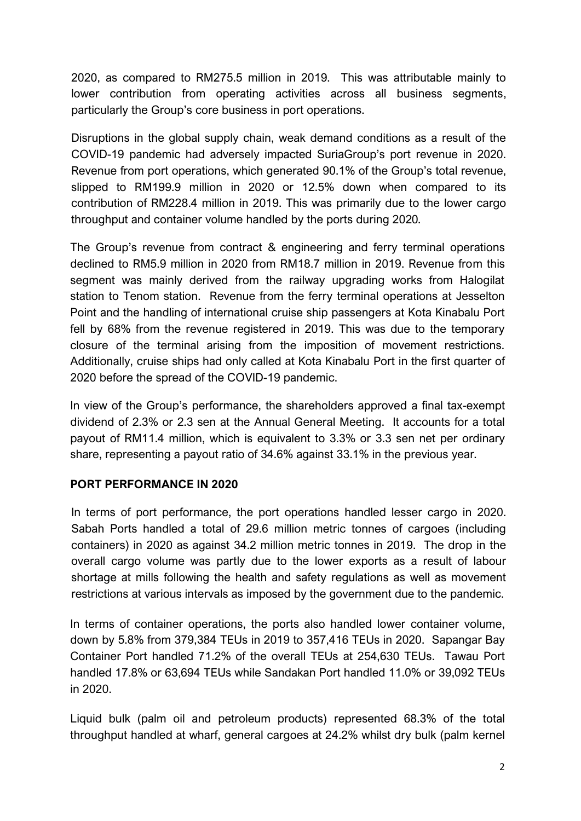2020, as compared to RM275.5 million in 2019. This was attributable mainly to lower contribution from operating activities across all business segments, particularly the Group's core business in port operations.

Disruptions in the global supply chain, weak demand conditions as a result of the COVID-19 pandemic had adversely impacted SuriaGroup's port revenue in 2020. Revenue from port operations, which generated 90.1% of the Group's total revenue, slipped to RM199.9 million in 2020 or 12.5% down when compared to its contribution of RM228.4 million in 2019. This was primarily due to the lower cargo throughput and container volume handled by the ports during 2020.

The Group's revenue from contract & engineering and ferry terminal operations declined to RM5.9 million in 2020 from RM18.7 million in 2019. Revenue from this segment was mainly derived from the railway upgrading works from Halogilat station to Tenom station. Revenue from the ferry terminal operations at Jesselton Point and the handling of international cruise ship passengers at Kota Kinabalu Port fell by 68% from the revenue registered in 2019. This was due to the temporary closure of the terminal arising from the imposition of movement restrictions. Additionally, cruise ships had only called at Kota Kinabalu Port in the first quarter of 2020 before the spread of the COVID-19 pandemic.

In view of the Group's performance, the shareholders approved a final tax-exempt dividend of 2.3% or 2.3 sen at the Annual General Meeting. It accounts for a total payout of RM11.4 million, which is equivalent to 3.3% or 3.3 sen net per ordinary share, representing a payout ratio of 34.6% against 33.1% in the previous year.

### **PORT PERFORMANCE IN 2020**

In terms of port performance, the port operations handled lesser cargo in 2020. Sabah Ports handled a total of 29.6 million metric tonnes of cargoes (including containers) in 2020 as against 34.2 million metric tonnes in 2019. The drop in the overall cargo volume was partly due to the lower exports as a result of labour shortage at mills following the health and safety regulations as well as movement restrictions at various intervals as imposed by the government due to the pandemic.

In terms of container operations, the ports also handled lower container volume, down by 5.8% from 379,384 TEUs in 2019 to 357,416 TEUs in 2020. Sapangar Bay Container Port handled 71.2% of the overall TEUs at 254,630 TEUs. Tawau Port handled 17.8% or 63,694 TEUs while Sandakan Port handled 11.0% or 39,092 TEUs in 2020.

Liquid bulk (palm oil and petroleum products) represented 68.3% of the total throughput handled at wharf, general cargoes at 24.2% whilst dry bulk (palm kernel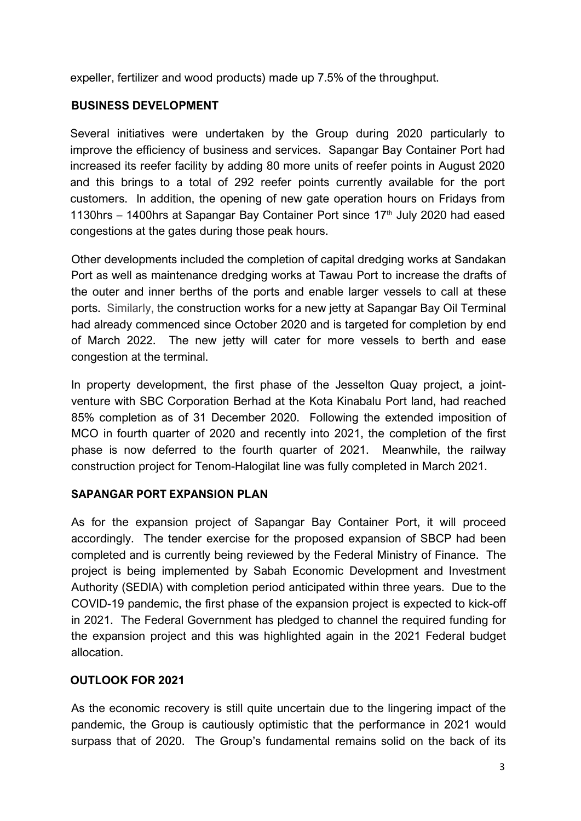expeller, fertilizer and wood products) made up 7.5% of the throughput.

## **BUSINESS DEVELOPMENT**

Several initiatives were undertaken by the Group during 2020 particularly to improve the efficiency of business and services. Sapangar Bay Container Port had increased its reefer facility by adding 80 more units of reefer points in August 2020 and this brings to a total of 292 reefer points currently available for the port customers. In addition, the opening of new gate operation hours on Fridays from 1130hrs – 1400hrs at Sapangar Bay Container Port since  $17<sup>th</sup>$  July 2020 had eased congestions at the gates during those peak hours.

Other developments included the completion of capital dredging works at Sandakan Port as well as maintenance dredging works at Tawau Port to increase the drafts of the outer and inner berths of the ports and enable larger vessels to call at these ports. Similarly, the construction works for a new jetty at Sapangar Bay Oil Terminal had already commenced since October 2020 and is targeted for completion by end of March 2022. The new jetty will cater for more vessels to berth and ease congestion at the terminal.

In property development, the first phase of the Jesselton Quay project, a jointventure with SBC Corporation Berhad at the Kota Kinabalu Port land, had reached 85% completion as of 31 December 2020. Following the extended imposition of MCO in fourth quarter of 2020 and recently into 2021, the completion of the first phase is now deferred to the fourth quarter of 2021. Meanwhile, the railway construction project for Tenom-Halogilat line was fully completed in March 2021.

### **SAPANGAR PORT EXPANSION PLAN**

As for the expansion project of Sapangar Bay Container Port, it will proceed accordingly. The tender exercise for the proposed expansion of SBCP had been completed and is currently being reviewed by the Federal Ministry of Finance. The project is being implemented by Sabah Economic Development and Investment Authority (SEDIA) with completion period anticipated within three years. Due to the COVID-19 pandemic, the first phase of the expansion project is expected to kick-off in 2021. The Federal Government has pledged to channel the required funding for the expansion project and this was highlighted again in the 2021 Federal budget allocation.

### **OUTLOOK FOR 2021**

As the economic recovery is still quite uncertain due to the lingering impact of the pandemic, the Group is cautiously optimistic that the performance in 2021 would surpass that of 2020. The Group's fundamental remains solid on the back of its